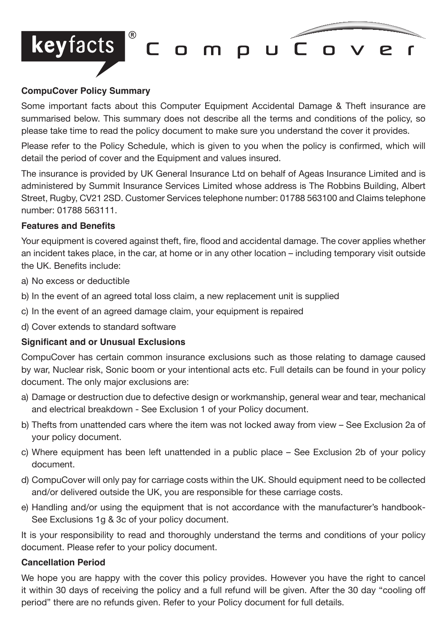

### **CompuCover Policy Summary**

Some important facts about this Computer Equipment Accidental Damage & Theft insurance are summarised below. This summary does not describe all the terms and conditions of the policy, so please take time to read the policy document to make sure you understand the cover it provides.

Please refer to the Policy Schedule, which is given to you when the policy is confirmed, which will detail the period of cover and the Equipment and values insured.

The insurance is provided by UK General Insurance Ltd on behalf of Ageas Insurance Limited and is administered by Summit Insurance Services Limited whose address is The Robbins Building, Albert Street, Rugby, CV21 2SD. Customer Services telephone number: 01788 563100 and Claims telephone number: 01788 563111.

#### **Features and Benefits**

Your equipment is covered against theft, fire, flood and accidental damage. The cover applies whether an incident takes place, in the car, at home or in any other location – including temporary visit outside the UK. Benefits include:

- a) No excess or deductible
- b) In the event of an agreed total loss claim, a new replacement unit is supplied
- c) In the event of an agreed damage claim, your equipment is repaired
- d) Cover extends to standard software

## **Significant and or Unusual Exclusions**

CompuCover has certain common insurance exclusions such as those relating to damage caused by war, Nuclear risk, Sonic boom or your intentional acts etc. Full details can be found in your policy document. The only major exclusions are:

- a) Damage or destruction due to defective design or workmanship, general wear and tear, mechanical and electrical breakdown - See Exclusion 1 of your Policy document.
- b) Thefts from unattended cars where the item was not locked away from view See Exclusion 2a of your policy document.
- c) Where equipment has been left unattended in a public place See Exclusion 2b of your policy document.
- d) CompuCover will only pay for carriage costs within the UK. Should equipment need to be collected and/or delivered outside the UK, you are responsible for these carriage costs.
- e) Handling and/or using the equipment that is not accordance with the manufacturer's handbook-See Exclusions 1g & 3c of your policy document.

It is your responsibility to read and thoroughly understand the terms and conditions of your policy document. Please refer to your policy document.

#### **Cancellation Period**

We hope you are happy with the cover this policy provides. However you have the right to cancel it within 30 days of receiving the policy and a full refund will be given. After the 30 day "cooling off period" there are no refunds given. Refer to your Policy document for full details.